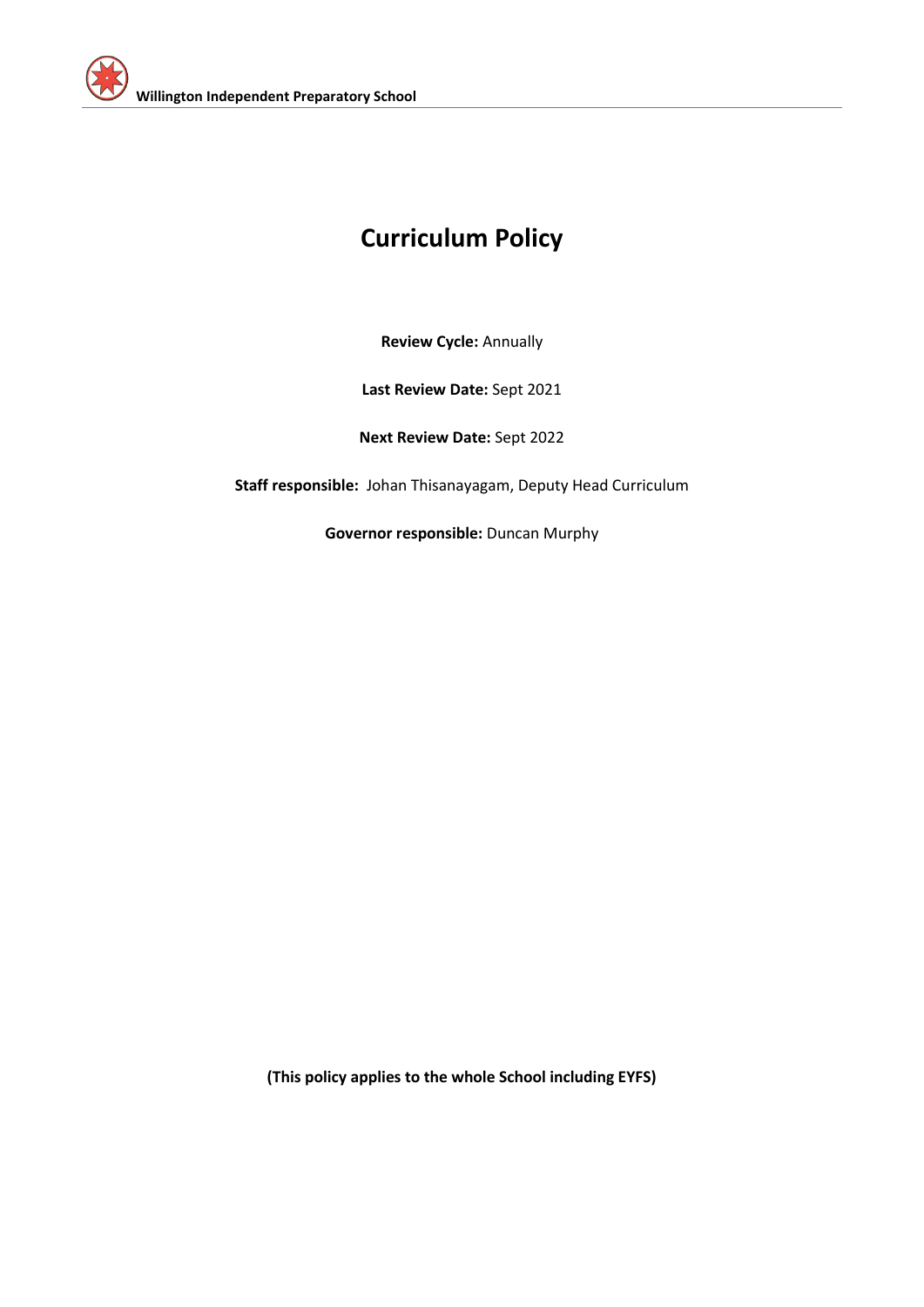

# **Curriculum Policy**

**Review Cycle:** Annually

**Last Review Date:** Sept 2021

**Next Review Date:** Sept 2022

**Staff responsible:** Johan Thisanayagam, Deputy Head Curriculum

**Governor responsible:** Duncan Murphy

**(This policy applies to the whole School including EYFS)**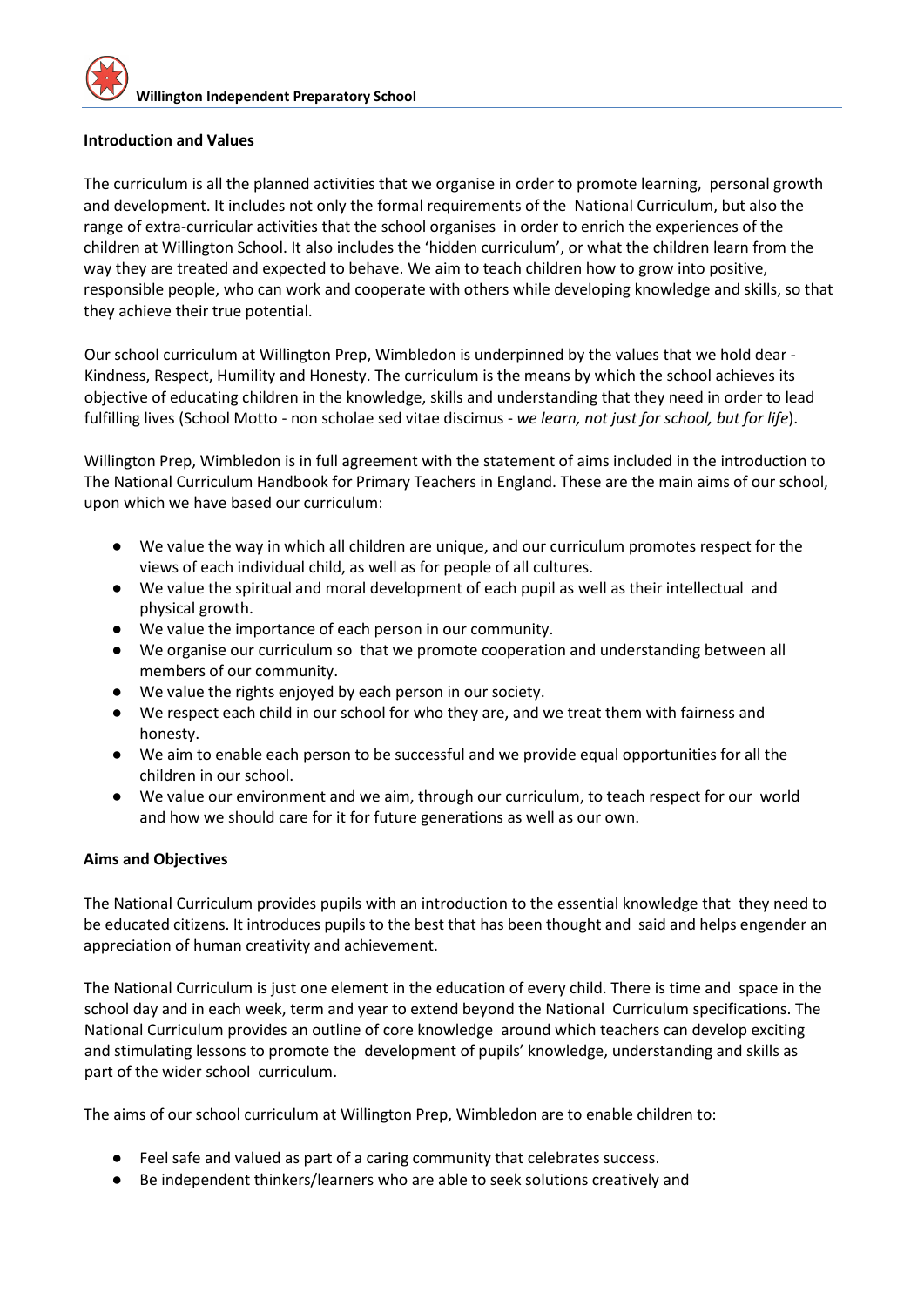#### **Introduction and Values**

The curriculum is all the planned activities that we organise in order to promote learning, personal growth and development. It includes not only the formal requirements of the National Curriculum, but also the range of extra-curricular activities that the school organises in order to enrich the experiences of the children at Willington School. It also includes the 'hidden curriculum', or what the children learn from the way they are treated and expected to behave. We aim to teach children how to grow into positive, responsible people, who can work and cooperate with others while developing knowledge and skills, so that they achieve their true potential.

Our school curriculum at Willington Prep, Wimbledon is underpinned by the values that we hold dear - Kindness, Respect, Humility and Honesty. The curriculum is the means by which the school achieves its objective of educating children in the knowledge, skills and understanding that they need in order to lead fulfilling lives (School Motto - non scholae sed vitae discimus - *we learn, not just for school, but for life*).

Willington Prep, Wimbledon is in full agreement with the statement of aims included in the introduction to The National Curriculum Handbook for Primary Teachers in England. These are the main aims of our school, upon which we have based our curriculum:

- We value the way in which all children are unique, and our curriculum promotes respect for the views of each individual child, as well as for people of all cultures.
- We value the spiritual and moral development of each pupil as well as their intellectual and physical growth.
- We value the importance of each person in our community.
- We organise our curriculum so that we promote cooperation and understanding between all members of our community.
- We value the rights enjoyed by each person in our society.
- We respect each child in our school for who they are, and we treat them with fairness and honesty.
- We aim to enable each person to be successful and we provide equal opportunities for all the children in our school.
- We value our environment and we aim, through our curriculum, to teach respect for our world and how we should care for it for future generations as well as our own.

#### **Aims and Objectives**

The National Curriculum provides pupils with an introduction to the essential knowledge that they need to be educated citizens. It introduces pupils to the best that has been thought and said and helps engender an appreciation of human creativity and achievement.

The National Curriculum is just one element in the education of every child. There is time and space in the school day and in each week, term and year to extend beyond the National Curriculum specifications. The National Curriculum provides an outline of core knowledge around which teachers can develop exciting and stimulating lessons to promote the development of pupils' knowledge, understanding and skills as part of the wider school curriculum.

The aims of our school curriculum at Willington Prep, Wimbledon are to enable children to:

- Feel safe and valued as part of a caring community that celebrates success.
- Be independent thinkers/learners who are able to seek solutions creatively and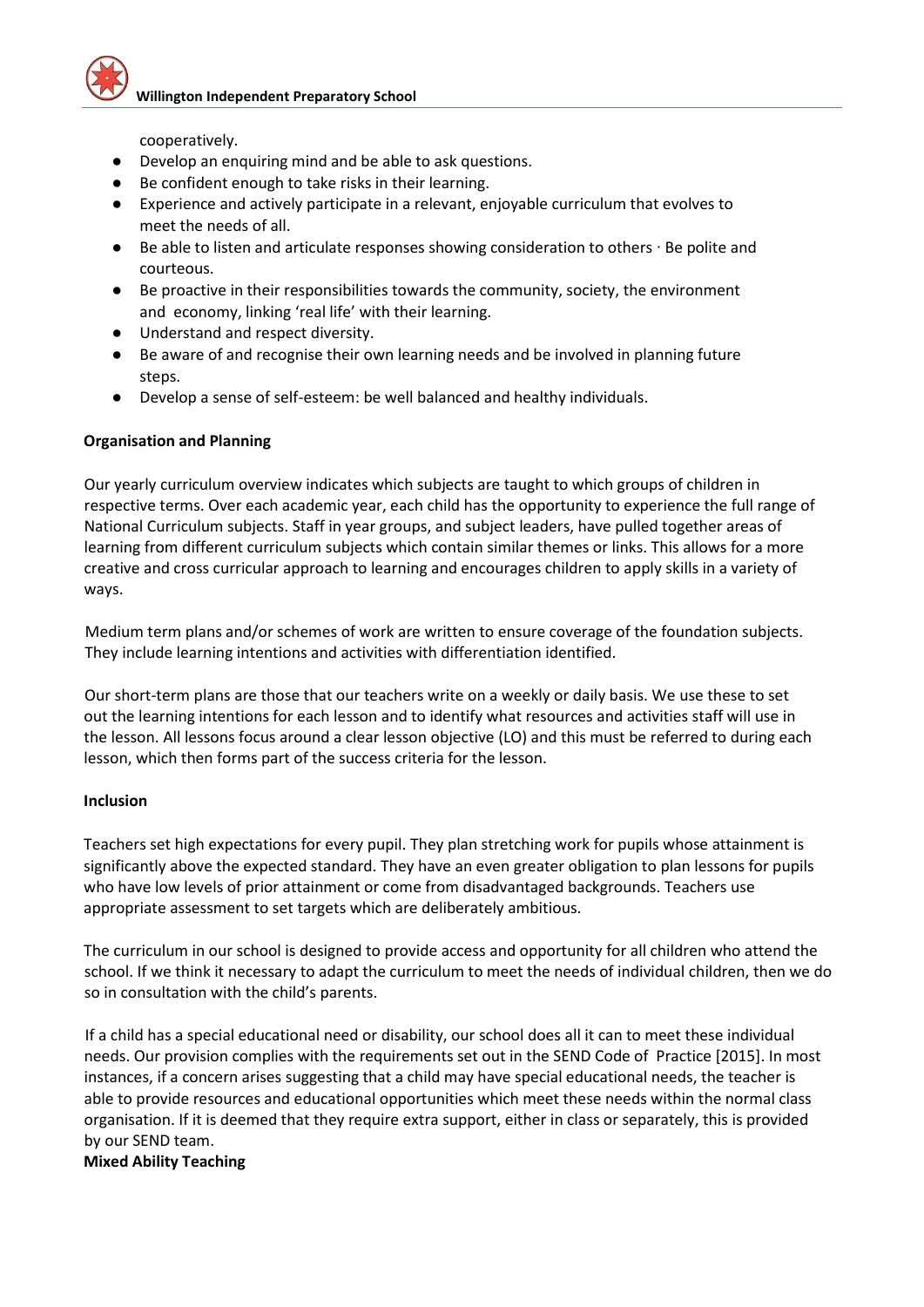cooperatively.

- Develop an enquiring mind and be able to ask questions.
- Be confident enough to take risks in their learning.
- Experience and actively participate in a relevant, enjoyable curriculum that evolves to meet the needs of all.
- Be able to listen and articulate responses showing consideration to others ⋅ Be polite and courteous.
- Be proactive in their responsibilities towards the community, society, the environment and economy, linking 'real life' with their learning.
- Understand and respect diversity.
- Be aware of and recognise their own learning needs and be involved in planning future steps.
- Develop a sense of self-esteem: be well balanced and healthy individuals.

#### **Organisation and Planning**

Our yearly curriculum overview indicates which subjects are taught to which groups of children in respective terms. Over each academic year, each child has the opportunity to experience the full range of National Curriculum subjects. Staff in year groups, and subject leaders, have pulled together areas of learning from different curriculum subjects which contain similar themes or links. This allows for a more creative and cross curricular approach to learning and encourages children to apply skills in a variety of ways.

Medium term plans and/or schemes of work are written to ensure coverage of the foundation subjects. They include learning intentions and activities with differentiation identified.

Our short-term plans are those that our teachers write on a weekly or daily basis. We use these to set out the learning intentions for each lesson and to identify what resources and activities staff will use in the lesson. All lessons focus around a clear lesson objective (LO) and this must be referred to during each lesson, which then forms part of the success criteria for the lesson.

#### **Inclusion**

Teachers set high expectations for every pupil. They plan stretching work for pupils whose attainment is significantly above the expected standard. They have an even greater obligation to plan lessons for pupils who have low levels of prior attainment or come from disadvantaged backgrounds. Teachers use appropriate assessment to set targets which are deliberately ambitious.

The curriculum in our school is designed to provide access and opportunity for all children who attend the school. If we think it necessary to adapt the curriculum to meet the needs of individual children, then we do so in consultation with the child's parents.

If a child has a special educational need or disability, our school does all it can to meet these individual needs. Our provision complies with the requirements set out in the SEND Code of Practice [2015]. In most instances, if a concern arises suggesting that a child may have special educational needs, the teacher is able to provide resources and educational opportunities which meet these needs within the normal class organisation. If it is deemed that they require extra support, either in class or separately, this is provided by our SEND team.

#### **Mixed Ability Teaching**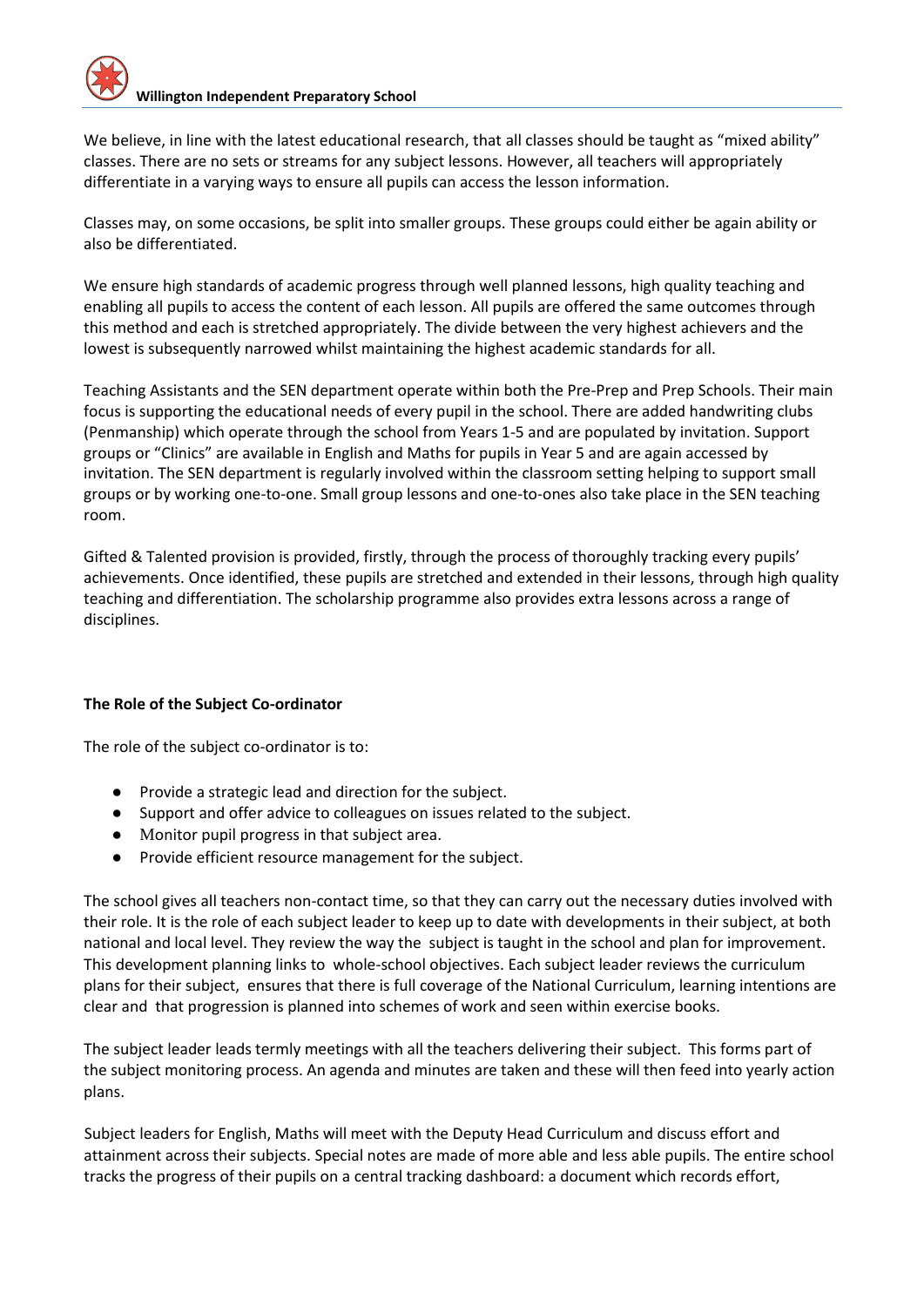We believe, in line with the latest educational research, that all classes should be taught as "mixed ability" classes. There are no sets or streams for any subject lessons. However, all teachers will appropriately differentiate in a varying ways to ensure all pupils can access the lesson information.

Classes may, on some occasions, be split into smaller groups. These groups could either be again ability or also be differentiated.

We ensure high standards of academic progress through well planned lessons, high quality teaching and enabling all pupils to access the content of each lesson. All pupils are offered the same outcomes through this method and each is stretched appropriately. The divide between the very highest achievers and the lowest is subsequently narrowed whilst maintaining the highest academic standards for all.

Teaching Assistants and the SEN department operate within both the Pre-Prep and Prep Schools. Their main focus is supporting the educational needs of every pupil in the school. There are added handwriting clubs (Penmanship) which operate through the school from Years 1-5 and are populated by invitation. Support groups or "Clinics" are available in English and Maths for pupils in Year 5 and are again accessed by invitation. The SEN department is regularly involved within the classroom setting helping to support small groups or by working one-to-one. Small group lessons and one-to-ones also take place in the SEN teaching room.

Gifted & Talented provision is provided, firstly, through the process of thoroughly tracking every pupils' achievements. Once identified, these pupils are stretched and extended in their lessons, through high quality teaching and differentiation. The scholarship programme also provides extra lessons across a range of disciplines.

#### **The Role of the Subject Co-ordinator**

The role of the subject co-ordinator is to:

- Provide a strategic lead and direction for the subject.
- Support and offer advice to colleagues on issues related to the subject.
- Monitor pupil progress in that subject area.
- Provide efficient resource management for the subject.

The school gives all teachers non-contact time, so that they can carry out the necessary duties involved with their role. It is the role of each subject leader to keep up to date with developments in their subject, at both national and local level. They review the way the subject is taught in the school and plan for improvement. This development planning links to whole-school objectives. Each subject leader reviews the curriculum plans for their subject, ensures that there is full coverage of the National Curriculum, learning intentions are clear and that progression is planned into schemes of work and seen within exercise books.

The subject leader leads termly meetings with all the teachers delivering their subject. This forms part of the subject monitoring process. An agenda and minutes are taken and these will then feed into yearly action plans.

Subject leaders for English, Maths will meet with the Deputy Head Curriculum and discuss effort and attainment across their subjects. Special notes are made of more able and less able pupils. The entire school tracks the progress of their pupils on a central tracking dashboard: a document which records effort,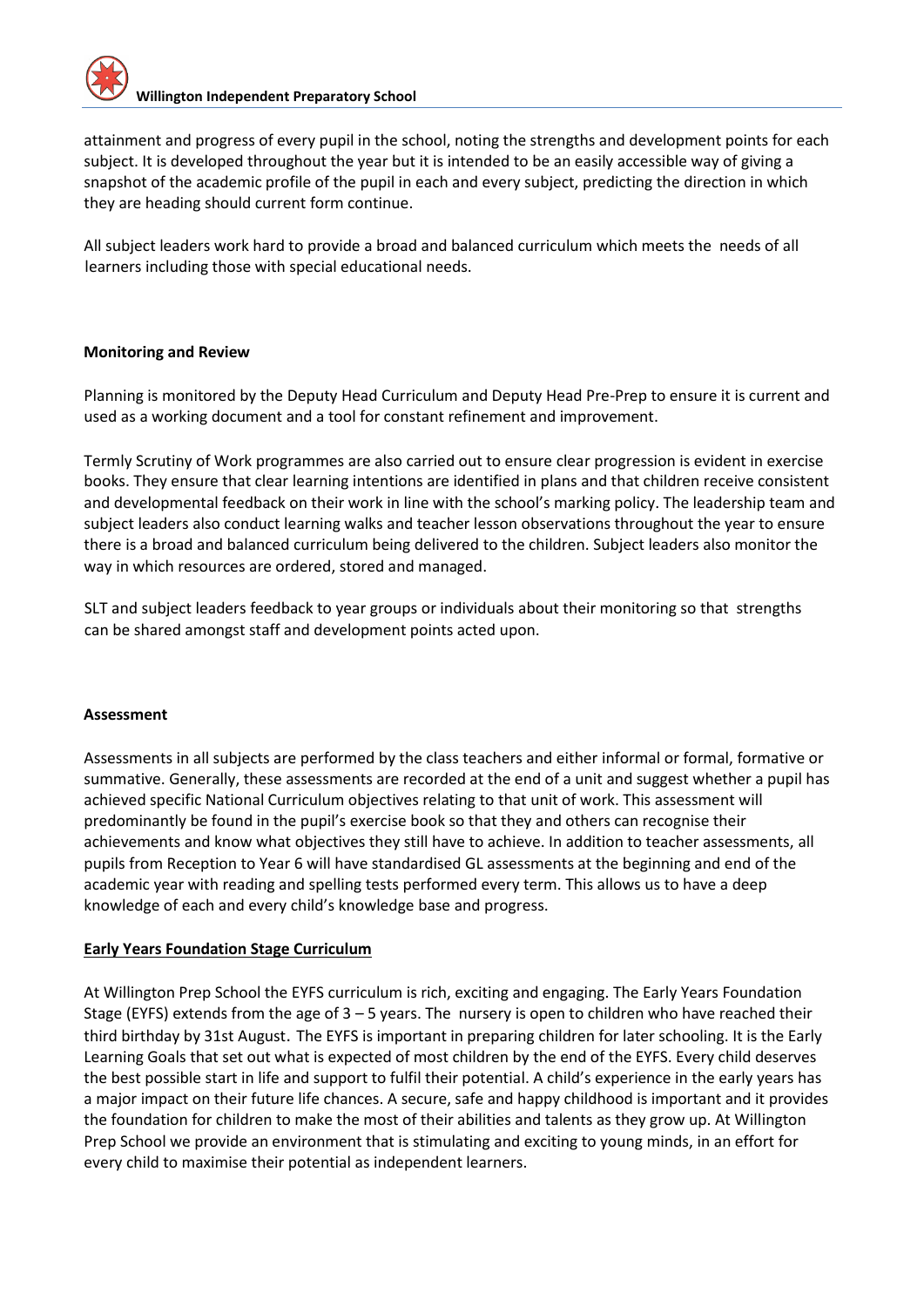attainment and progress of every pupil in the school, noting the strengths and development points for each subject. It is developed throughout the year but it is intended to be an easily accessible way of giving a snapshot of the academic profile of the pupil in each and every subject, predicting the direction in which they are heading should current form continue.

All subject leaders work hard to provide a broad and balanced curriculum which meets the needs of all learners including those with special educational needs.

#### **Monitoring and Review**

Planning is monitored by the Deputy Head Curriculum and Deputy Head Pre-Prep to ensure it is current and used as a working document and a tool for constant refinement and improvement.

Termly Scrutiny of Work programmes are also carried out to ensure clear progression is evident in exercise books. They ensure that clear learning intentions are identified in plans and that children receive consistent and developmental feedback on their work in line with the school's marking policy. The leadership team and subject leaders also conduct learning walks and teacher lesson observations throughout the year to ensure there is a broad and balanced curriculum being delivered to the children. Subject leaders also monitor the way in which resources are ordered, stored and managed.

SLT and subject leaders feedback to year groups or individuals about their monitoring so that strengths can be shared amongst staff and development points acted upon.

#### **Assessment**

Assessments in all subjects are performed by the class teachers and either informal or formal, formative or summative. Generally, these assessments are recorded at the end of a unit and suggest whether a pupil has achieved specific National Curriculum objectives relating to that unit of work. This assessment will predominantly be found in the pupil's exercise book so that they and others can recognise their achievements and know what objectives they still have to achieve. In addition to teacher assessments, all pupils from Reception to Year 6 will have standardised GL assessments at the beginning and end of the academic year with reading and spelling tests performed every term. This allows us to have a deep knowledge of each and every child's knowledge base and progress.

#### **Early Years Foundation Stage Curriculum**

At Willington Prep School the EYFS curriculum is rich, exciting and engaging. The Early Years Foundation Stage (EYFS) extends from the age of  $3 - 5$  years. The nursery is open to children who have reached their third birthday by 31st August. The EYFS is important in preparing children for later schooling. It is the Early Learning Goals that set out what is expected of most children by the end of the EYFS. Every child deserves the best possible start in life and support to fulfil their potential. A child's experience in the early years has a major impact on their future life chances. A secure, safe and happy childhood is important and it provides the foundation for children to make the most of their abilities and talents as they grow up. At Willington Prep School we provide an environment that is stimulating and exciting to young minds, in an effort for every child to maximise their potential as independent learners.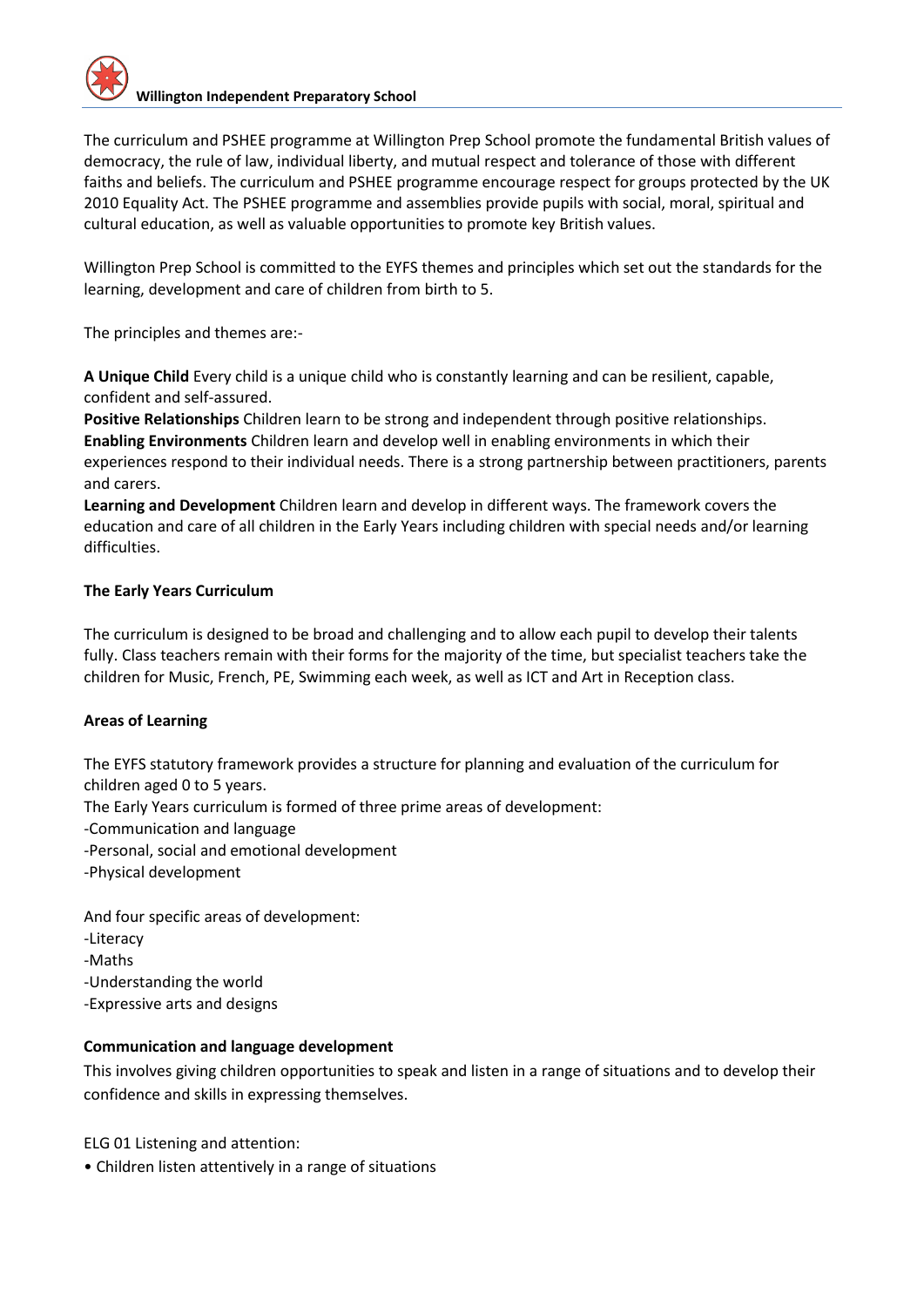The curriculum and PSHEE programme at Willington Prep School promote the fundamental British values of democracy, the rule of law, individual liberty, and mutual respect and tolerance of those with different faiths and beliefs. The curriculum and PSHEE programme encourage respect for groups protected by the UK 2010 Equality Act. The PSHEE programme and assemblies provide pupils with social, moral, spiritual and cultural education, as well as valuable opportunities to promote key British values.

Willington Prep School is committed to the EYFS themes and principles which set out the standards for the learning, development and care of children from birth to 5.

The principles and themes are:-

**A Unique Child** Every child is a unique child who is constantly learning and can be resilient, capable, confident and self-assured.

**Positive Relationships** Children learn to be strong and independent through positive relationships. **Enabling Environments** Children learn and develop well in enabling environments in which their experiences respond to their individual needs. There is a strong partnership between practitioners, parents and carers.

**Learning and Development** Children learn and develop in different ways. The framework covers the education and care of all children in the Early Years including children with special needs and/or learning difficulties.

### **The Early Years Curriculum**

The curriculum is designed to be broad and challenging and to allow each pupil to develop their talents fully. Class teachers remain with their forms for the majority of the time, but specialist teachers take the children for Music, French, PE, Swimming each week, as well as ICT and Art in Reception class.

#### **Areas of Learning**

The EYFS statutory framework provides a structure for planning and evaluation of the curriculum for children aged 0 to 5 years.

- The Early Years curriculum is formed of three prime areas of development:
- -Communication and language
- -Personal, social and emotional development
- -Physical development

And four specific areas of development:

- -Literacy
- -Maths
- -Understanding the world
- -Expressive arts and designs

## **Communication and language development**

This involves giving children opportunities to speak and listen in a range of situations and to develop their confidence and skills in expressing themselves.

ELG 01 Listening and attention:

• Children listen attentively in a range of situations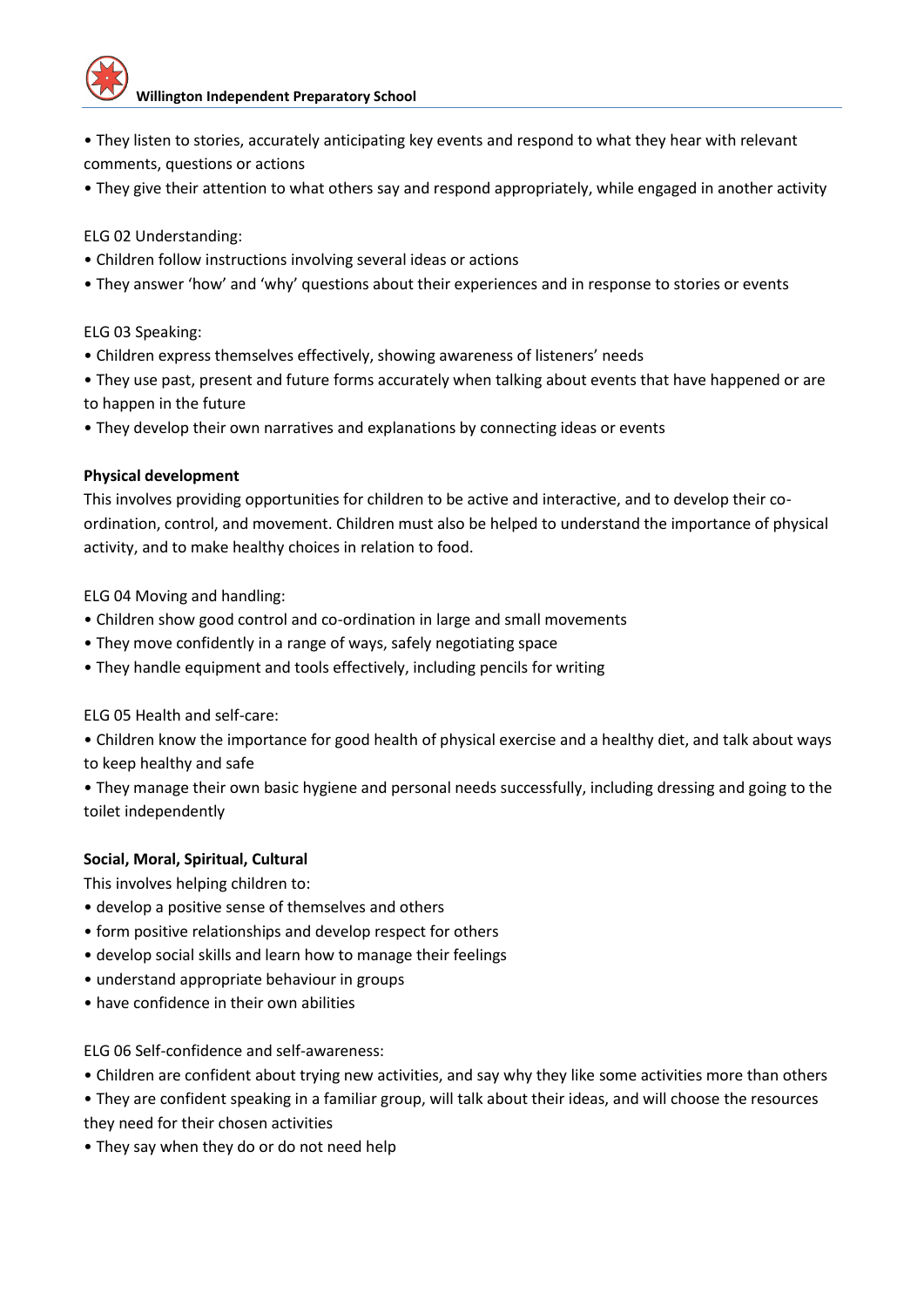

- They listen to stories, accurately anticipating key events and respond to what they hear with relevant comments, questions or actions
- They give their attention to what others say and respond appropriately, while engaged in another activity

ELG 02 Understanding:

- Children follow instructions involving several ideas or actions
- They answer 'how' and 'why' questions about their experiences and in response to stories or events

ELG 03 Speaking:

- Children express themselves effectively, showing awareness of listeners' needs
- They use past, present and future forms accurately when talking about events that have happened or are to happen in the future
- They develop their own narratives and explanations by connecting ideas or events

#### **Physical development**

This involves providing opportunities for children to be active and interactive, and to develop their coordination, control, and movement. Children must also be helped to understand the importance of physical activity, and to make healthy choices in relation to food.

ELG 04 Moving and handling:

- Children show good control and co-ordination in large and small movements
- They move confidently in a range of ways, safely negotiating space
- They handle equipment and tools effectively, including pencils for writing

ELG 05 Health and self-care:

• Children know the importance for good health of physical exercise and a healthy diet, and talk about ways to keep healthy and safe

• They manage their own basic hygiene and personal needs successfully, including dressing and going to the toilet independently

#### **Social, Moral, Spiritual, Cultural**

This involves helping children to:

- develop a positive sense of themselves and others
- form positive relationships and develop respect for others
- develop social skills and learn how to manage their feelings
- understand appropriate behaviour in groups
- have confidence in their own abilities

#### ELG 06 Self-confidence and self-awareness:

- Children are confident about trying new activities, and say why they like some activities more than others
- They are confident speaking in a familiar group, will talk about their ideas, and will choose the resources they need for their chosen activities
- They say when they do or do not need help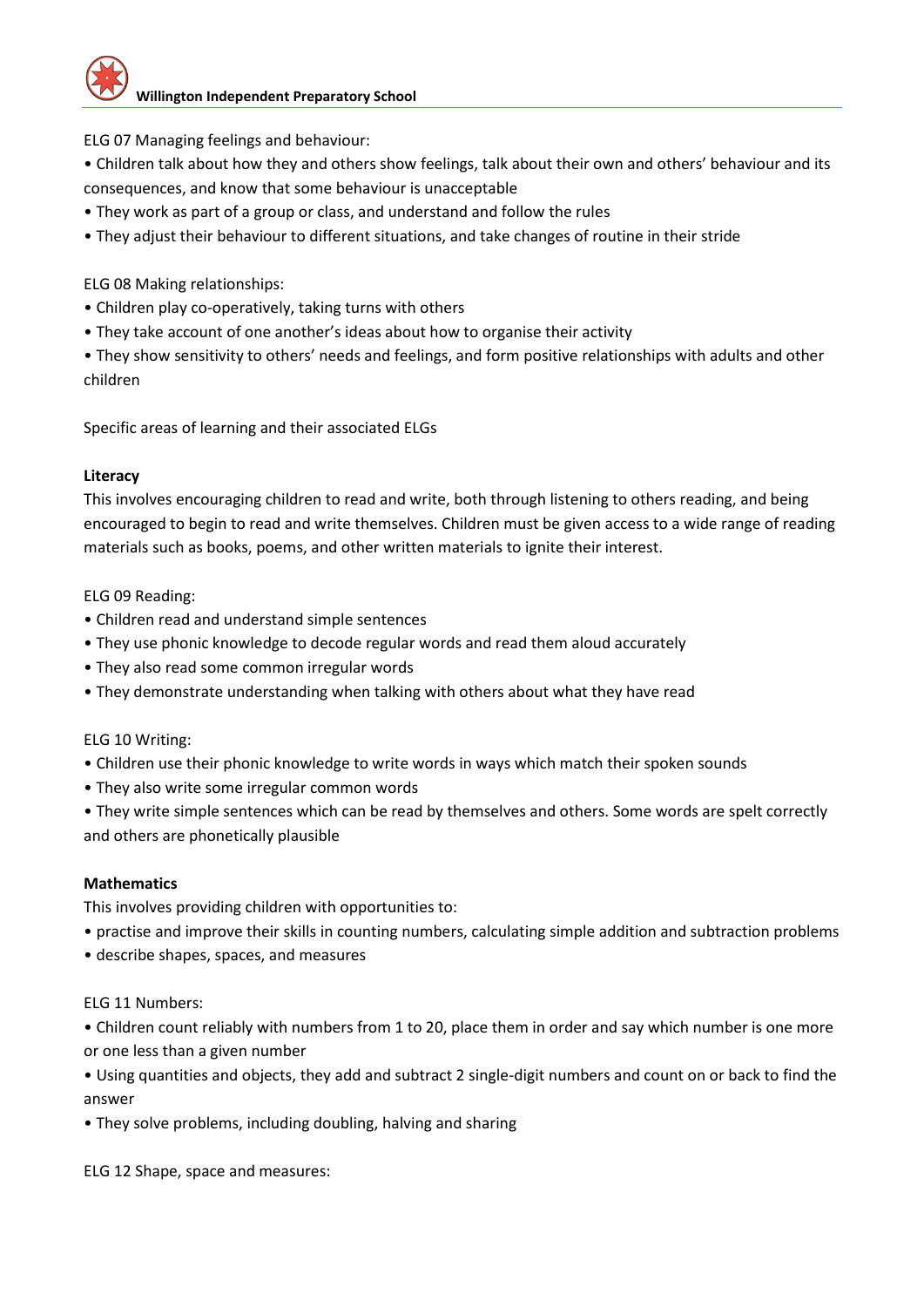ELG 07 Managing feelings and behaviour:

- Children talk about how they and others show feelings, talk about their own and others' behaviour and its consequences, and know that some behaviour is unacceptable
- They work as part of a group or class, and understand and follow the rules
- They adjust their behaviour to different situations, and take changes of routine in their stride

ELG 08 Making relationships:

- Children play co-operatively, taking turns with others
- They take account of one another's ideas about how to organise their activity

• They show sensitivity to others' needs and feelings, and form positive relationships with adults and other children

Specific areas of learning and their associated ELGs

#### **Literacy**

This involves encouraging children to read and write, both through listening to others reading, and being encouraged to begin to read and write themselves. Children must be given access to a wide range of reading materials such as books, poems, and other written materials to ignite their interest.

ELG 09 Reading:

- Children read and understand simple sentences
- They use phonic knowledge to decode regular words and read them aloud accurately
- They also read some common irregular words
- They demonstrate understanding when talking with others about what they have read

#### ELG 10 Writing:

- Children use their phonic knowledge to write words in ways which match their spoken sounds
- They also write some irregular common words
- They write simple sentences which can be read by themselves and others. Some words are spelt correctly and others are phonetically plausible

#### **Mathematics**

This involves providing children with opportunities to:

- practise and improve their skills in counting numbers, calculating simple addition and subtraction problems
- describe shapes, spaces, and measures

#### ELG 11 Numbers:

• Children count reliably with numbers from 1 to 20, place them in order and say which number is one more or one less than a given number

• Using quantities and objects, they add and subtract 2 single-digit numbers and count on or back to find the answer

• They solve problems, including doubling, halving and sharing

ELG 12 Shape, space and measures: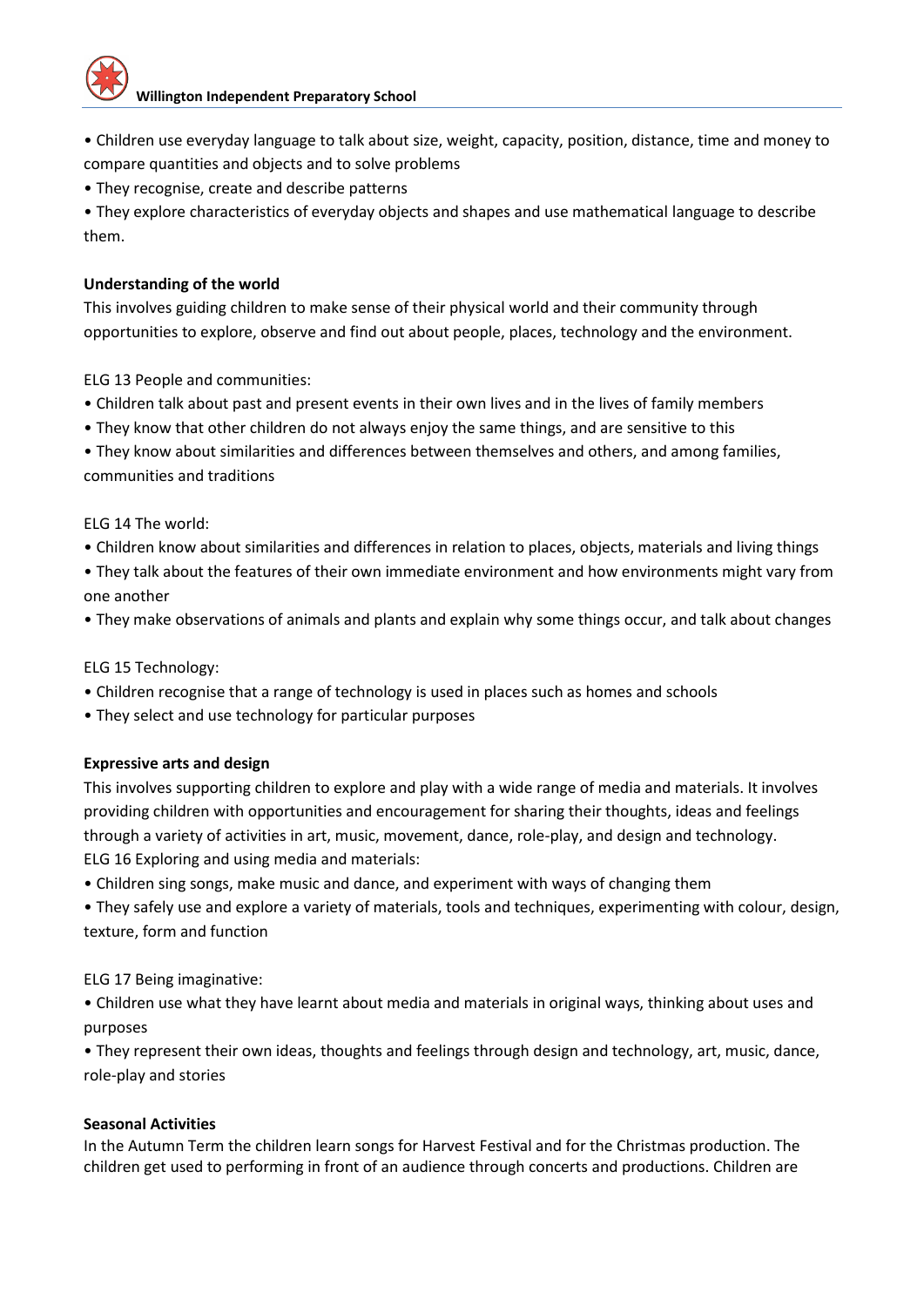• Children use everyday language to talk about size, weight, capacity, position, distance, time and money to compare quantities and objects and to solve problems

• They recognise, create and describe patterns

• They explore characteristics of everyday objects and shapes and use mathematical language to describe them.

#### **Understanding of the world**

This involves guiding children to make sense of their physical world and their community through opportunities to explore, observe and find out about people, places, technology and the environment.

ELG 13 People and communities:

- Children talk about past and present events in their own lives and in the lives of family members
- They know that other children do not always enjoy the same things, and are sensitive to this
- They know about similarities and differences between themselves and others, and among families, communities and traditions

ELG 14 The world:

- Children know about similarities and differences in relation to places, objects, materials and living things
- They talk about the features of their own immediate environment and how environments might vary from one another
- They make observations of animals and plants and explain why some things occur, and talk about changes

ELG 15 Technology:

- Children recognise that a range of technology is used in places such as homes and schools
- They select and use technology for particular purposes

#### **Expressive arts and design**

This involves supporting children to explore and play with a wide range of media and materials. It involves providing children with opportunities and encouragement for sharing their thoughts, ideas and feelings through a variety of activities in art, music, movement, dance, role-play, and design and technology. ELG 16 Exploring and using media and materials:

• Children sing songs, make music and dance, and experiment with ways of changing them

• They safely use and explore a variety of materials, tools and techniques, experimenting with colour, design, texture, form and function

ELG 17 Being imaginative:

• Children use what they have learnt about media and materials in original ways, thinking about uses and purposes

• They represent their own ideas, thoughts and feelings through design and technology, art, music, dance, role-play and stories

#### **Seasonal Activities**

In the Autumn Term the children learn songs for Harvest Festival and for the Christmas production. The children get used to performing in front of an audience through concerts and productions. Children are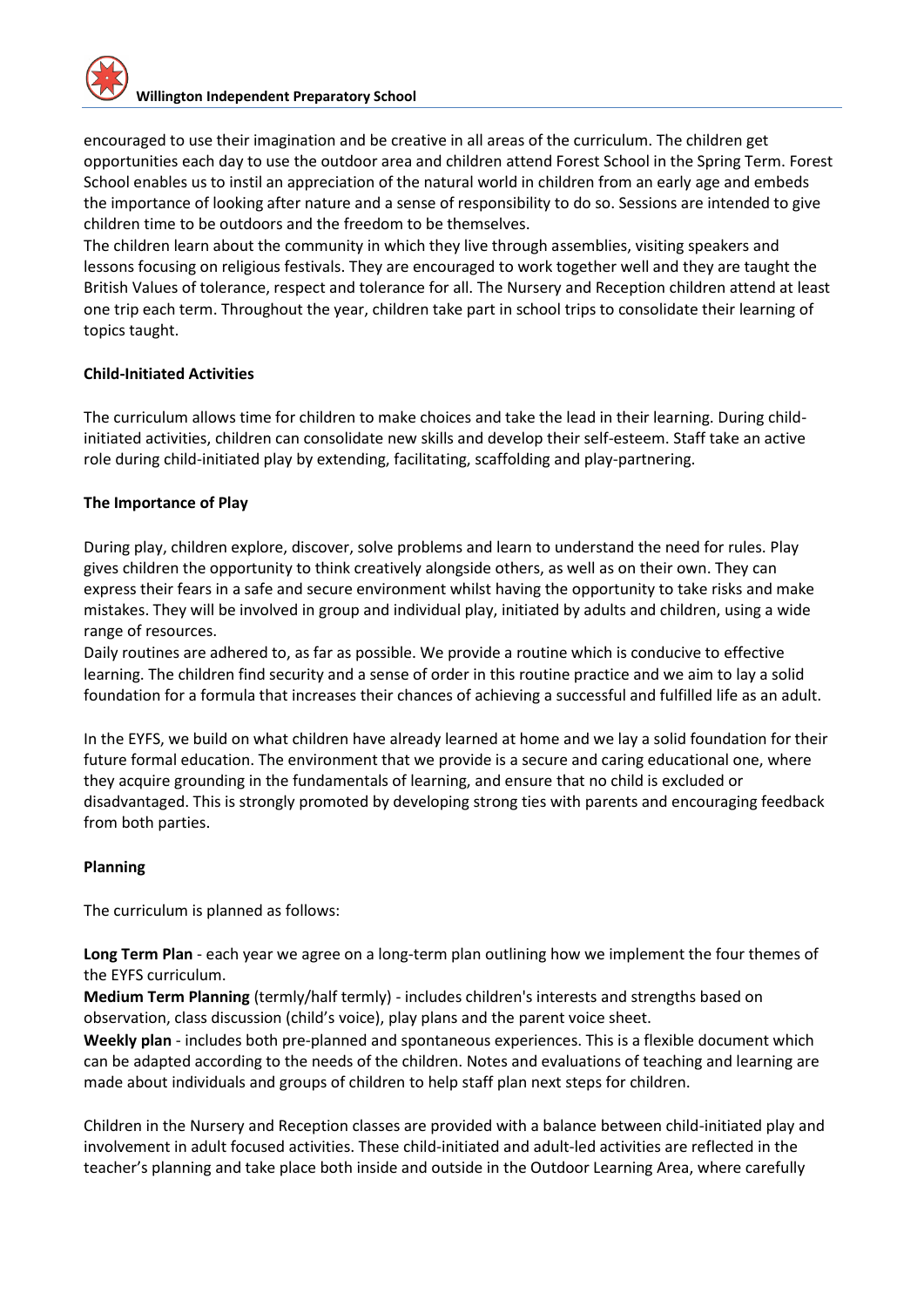encouraged to use their imagination and be creative in all areas of the curriculum. The children get opportunities each day to use the outdoor area and children attend Forest School in the Spring Term. Forest School enables us to instil an appreciation of the natural world in children from an early age and embeds the importance of looking after nature and a sense of responsibility to do so. Sessions are intended to give children time to be outdoors and the freedom to be themselves.

The children learn about the community in which they live through assemblies, visiting speakers and lessons focusing on religious festivals. They are encouraged to work together well and they are taught the British Values of tolerance, respect and tolerance for all. The Nursery and Reception children attend at least one trip each term. Throughout the year, children take part in school trips to consolidate their learning of topics taught.

#### **Child-Initiated Activities**

The curriculum allows time for children to make choices and take the lead in their learning. During childinitiated activities, children can consolidate new skills and develop their self-esteem. Staff take an active role during child-initiated play by extending, facilitating, scaffolding and play-partnering.

#### **The Importance of Play**

During play, children explore, discover, solve problems and learn to understand the need for rules. Play gives children the opportunity to think creatively alongside others, as well as on their own. They can express their fears in a safe and secure environment whilst having the opportunity to take risks and make mistakes. They will be involved in group and individual play, initiated by adults and children, using a wide range of resources.

Daily routines are adhered to, as far as possible. We provide a routine which is conducive to effective learning. The children find security and a sense of order in this routine practice and we aim to lay a solid foundation for a formula that increases their chances of achieving a successful and fulfilled life as an adult.

In the EYFS, we build on what children have already learned at home and we lay a solid foundation for their future formal education. The environment that we provide is a secure and caring educational one, where they acquire grounding in the fundamentals of learning, and ensure that no child is excluded or disadvantaged. This is strongly promoted by developing strong ties with parents and encouraging feedback from both parties.

#### **Planning**

The curriculum is planned as follows:

**Long Term Plan** - each year we agree on a long-term plan outlining how we implement the four themes of the EYFS curriculum.

**Medium Term Planning** (termly/half termly) - includes children's interests and strengths based on observation, class discussion (child's voice), play plans and the parent voice sheet.

**Weekly plan** - includes both pre-planned and spontaneous experiences. This is a flexible document which can be adapted according to the needs of the children. Notes and evaluations of teaching and learning are made about individuals and groups of children to help staff plan next steps for children.

Children in the Nursery and Reception classes are provided with a balance between child-initiated play and involvement in adult focused activities. These child-initiated and adult-led activities are reflected in the teacher's planning and take place both inside and outside in the Outdoor Learning Area, where carefully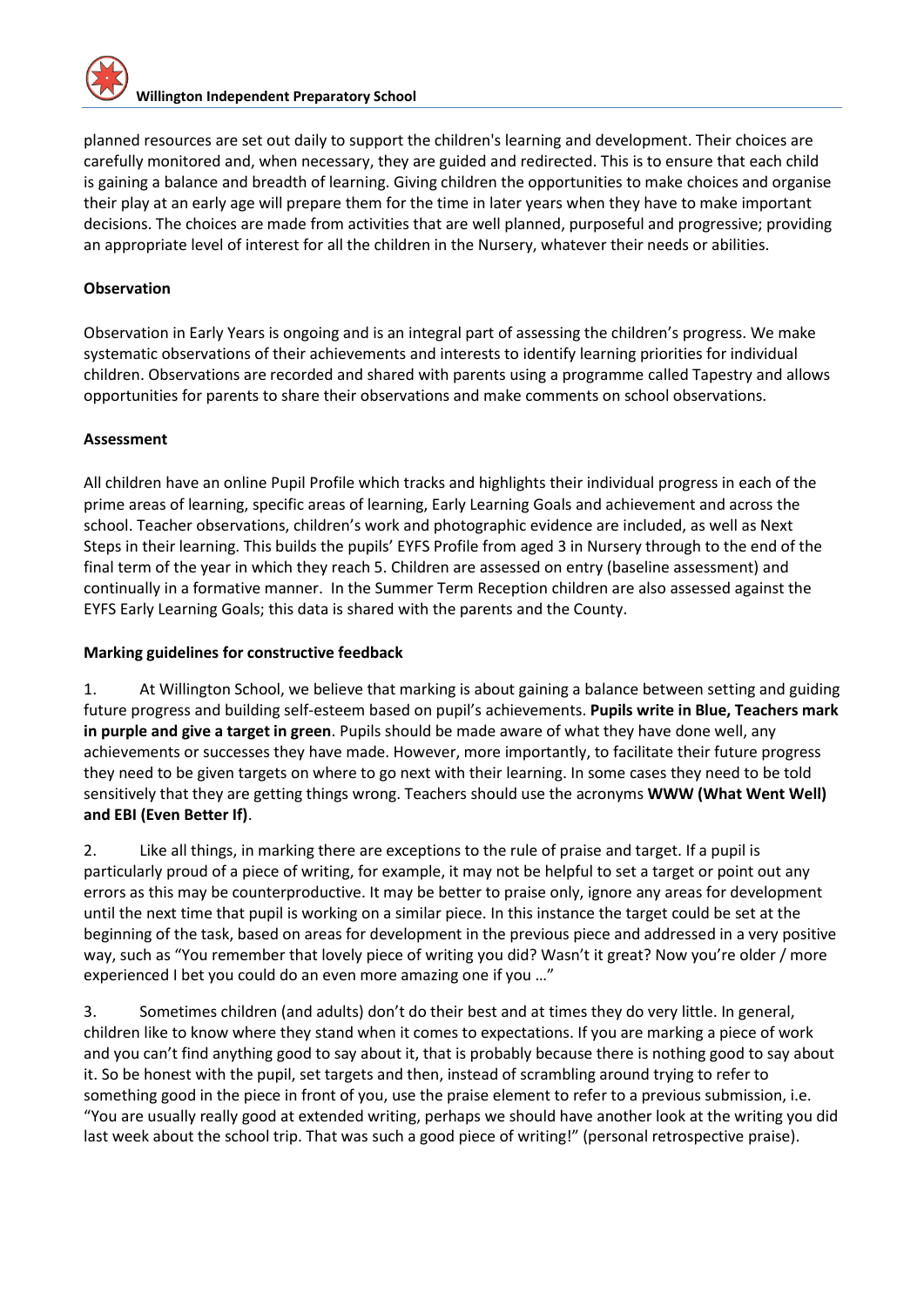planned resources are set out daily to support the children's learning and development. Their choices are carefully monitored and, when necessary, they are guided and redirected. This is to ensure that each child is gaining a balance and breadth of learning. Giving children the opportunities to make choices and organise their play at an early age will prepare them for the time in later years when they have to make important decisions. The choices are made from activities that are well planned, purposeful and progressive; providing an appropriate level of interest for all the children in the Nursery, whatever their needs or abilities.

#### **Observation**

Observation in Early Years is ongoing and is an integral part of assessing the children's progress. We make systematic observations of their achievements and interests to identify learning priorities for individual children. Observations are recorded and shared with parents using a programme called Tapestry and allows opportunities for parents to share their observations and make comments on school observations.

#### **Assessment**

All children have an online Pupil Profile which tracks and highlights their individual progress in each of the prime areas of learning, specific areas of learning, Early Learning Goals and achievement and across the school. Teacher observations, children's work and photographic evidence are included, as well as Next Steps in their learning. This builds the pupils' EYFS Profile from aged 3 in Nursery through to the end of the final term of the year in which they reach 5. Children are assessed on entry (baseline assessment) and continually in a formative manner. In the Summer Term Reception children are also assessed against the EYFS Early Learning Goals; this data is shared with the parents and the County.

#### **Marking guidelines for constructive feedback**

1. At Willington School, we believe that marking is about gaining a balance between setting and guiding future progress and building self-esteem based on pupil's achievements. **Pupils write in Blue, Teachers mark in purple and give a target in green**. Pupils should be made aware of what they have done well, any achievements or successes they have made. However, more importantly, to facilitate their future progress they need to be given targets on where to go next with their learning. In some cases they need to be told sensitively that they are getting things wrong. Teachers should use the acronyms **WWW (What Went Well) and EBI (Even Better If)**.

2. Like all things, in marking there are exceptions to the rule of praise and target. If a pupil is particularly proud of a piece of writing, for example, it may not be helpful to set a target or point out any errors as this may be counterproductive. It may be better to praise only, ignore any areas for development until the next time that pupil is working on a similar piece. In this instance the target could be set at the beginning of the task, based on areas for development in the previous piece and addressed in a very positive way, such as "You remember that lovely piece of writing you did? Wasn't it great? Now you're older / more experienced I bet you could do an even more amazing one if you …"

3. Sometimes children (and adults) don't do their best and at times they do very little. In general, children like to know where they stand when it comes to expectations. If you are marking a piece of work and you can't find anything good to say about it, that is probably because there is nothing good to say about it. So be honest with the pupil, set targets and then, instead of scrambling around trying to refer to something good in the piece in front of you, use the praise element to refer to a previous submission, i.e. "You are usually really good at extended writing, perhaps we should have another look at the writing you did last week about the school trip. That was such a good piece of writing!" (personal retrospective praise).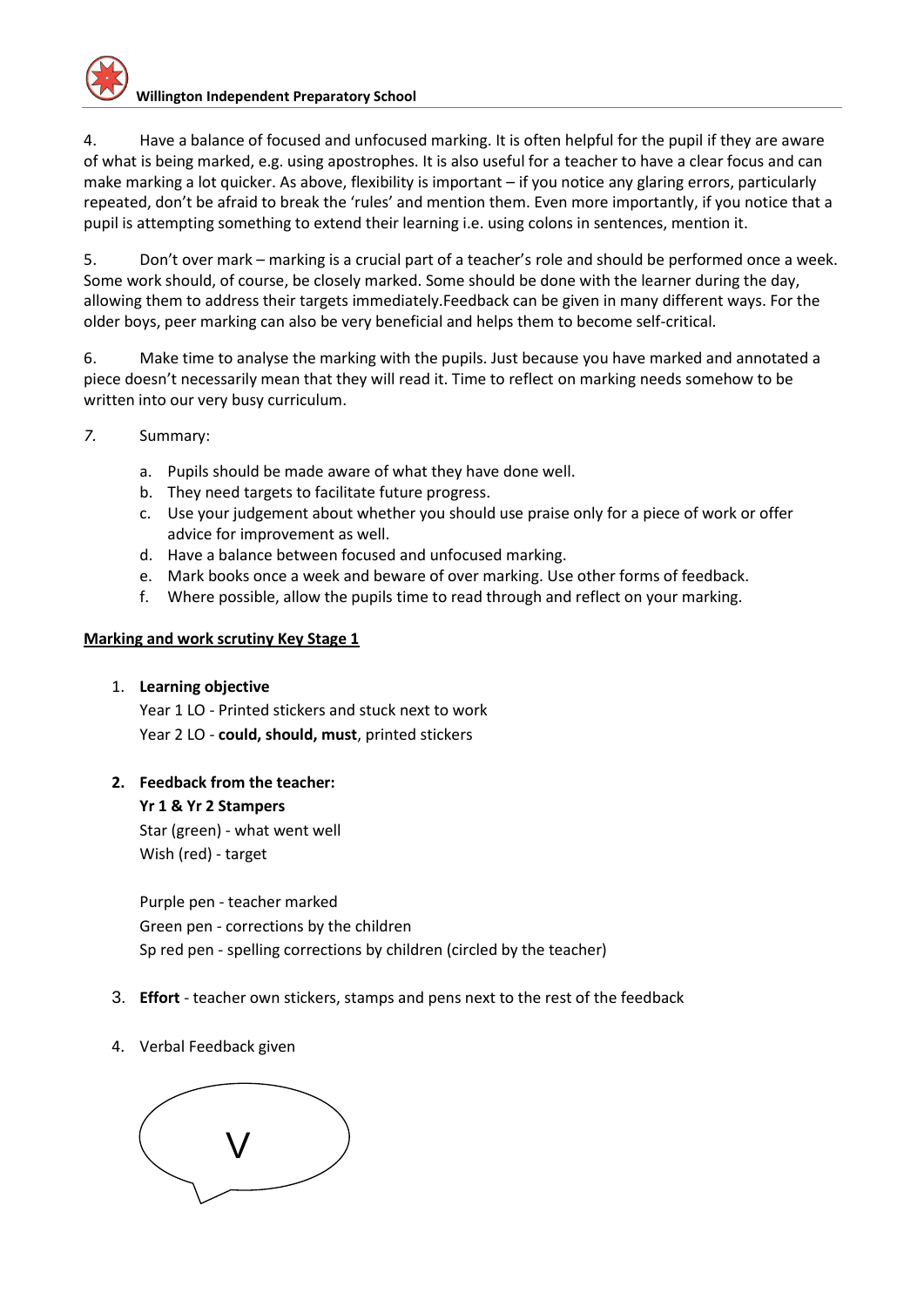4. Have a balance of focused and unfocused marking. It is often helpful for the pupil if they are aware of what is being marked, e.g. using apostrophes. It is also useful for a teacher to have a clear focus and can make marking a lot quicker. As above, flexibility is important – if you notice any glaring errors, particularly repeated, don't be afraid to break the 'rules' and mention them. Even more importantly, if you notice that a pupil is attempting something to extend their learning i.e. using colons in sentences, mention it.

5. Don't over mark – marking is a crucial part of a teacher's role and should be performed once a week. Some work should, of course, be closely marked. Some should be done with the learner during the day, allowing them to address their targets immediately.Feedback can be given in many different ways. For the older boys, peer marking can also be very beneficial and helps them to become self-critical.

6. Make time to analyse the marking with the pupils. Just because you have marked and annotated a piece doesn't necessarily mean that they will read it. Time to reflect on marking needs somehow to be written into our very busy curriculum.

- *7.* Summary:
	- a. Pupils should be made aware of what they have done well.
	- b. They need targets to facilitate future progress.
	- c. Use your judgement about whether you should use praise only for a piece of work or offer advice for improvement as well.
	- d. Have a balance between focused and unfocused marking.
	- e. Mark books once a week and beware of over marking. Use other forms of feedback.
	- f. Where possible, allow the pupils time to read through and reflect on your marking.

#### **Marking and work scrutiny Key Stage 1**

1. **Learning objective**

Year 1 LO - Printed stickers and stuck next to work Year 2 LO - **could, should, must**, printed stickers

**2. Feedback from the teacher:**

**Yr 1 & Yr 2 Stampers**  Star (green) - what went well

Wish (red) - target

Purple pen - teacher marked Green pen - corrections by the children Sp red pen - spelling corrections by children (circled by the teacher)

- 3. **Effort** teacher own stickers, stamps and pens next to the rest of the feedback
- 4. Verbal Feedback given

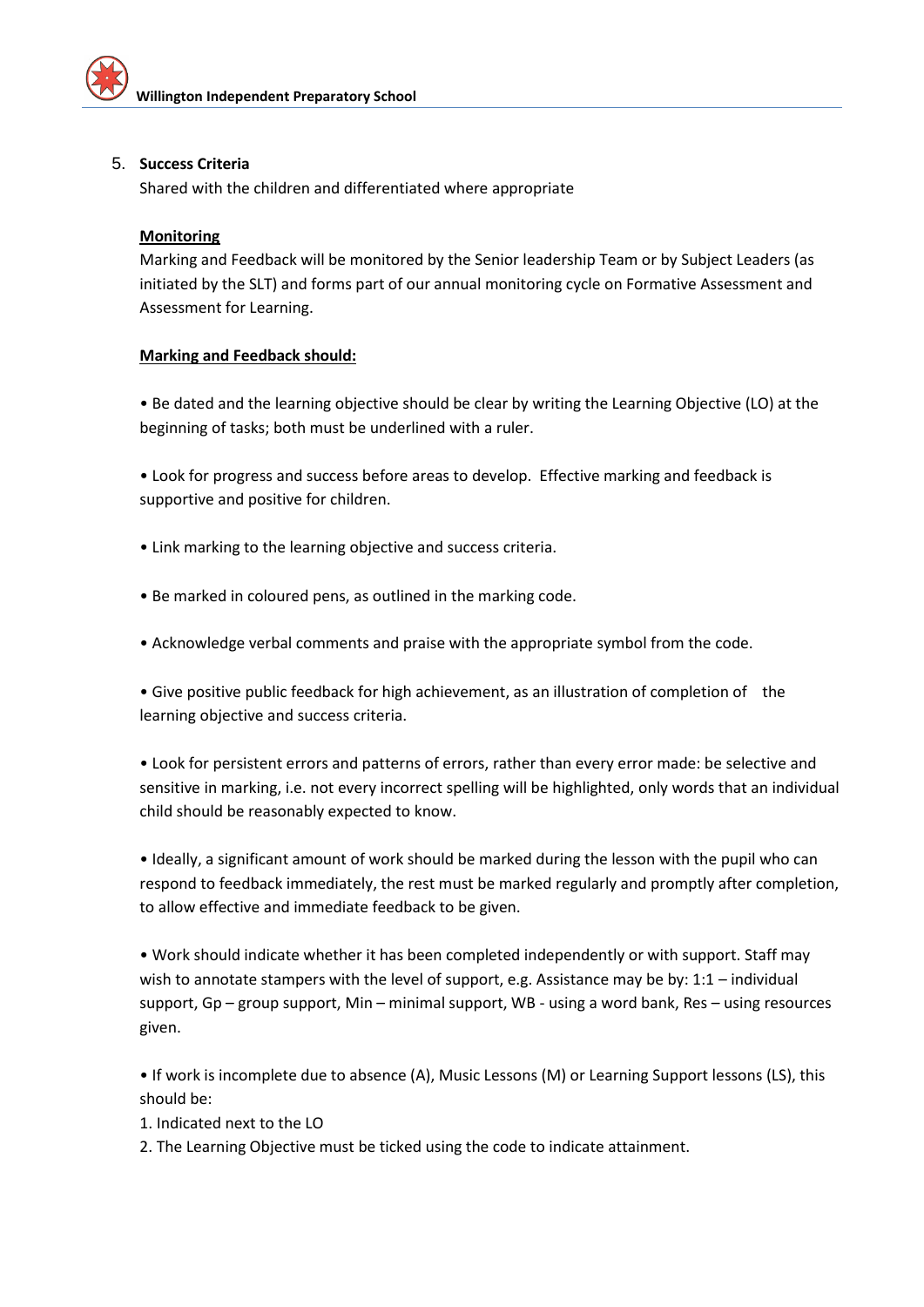

#### 5. **Success Criteria**

Shared with the children and differentiated where appropriate

#### **Monitoring**

Marking and Feedback will be monitored by the Senior leadership Team or by Subject Leaders (as initiated by the SLT) and forms part of our annual monitoring cycle on Formative Assessment and Assessment for Learning.

#### **Marking and Feedback should:**

• Be dated and the learning objective should be clear by writing the Learning Objective (LO) at the beginning of tasks; both must be underlined with a ruler.

• Look for progress and success before areas to develop. Effective marking and feedback is supportive and positive for children.

- Link marking to the learning objective and success criteria.
- Be marked in coloured pens, as outlined in the marking code.
- Acknowledge verbal comments and praise with the appropriate symbol from the code.

• Give positive public feedback for high achievement, as an illustration of completion of the learning objective and success criteria.

• Look for persistent errors and patterns of errors, rather than every error made: be selective and sensitive in marking, i.e. not every incorrect spelling will be highlighted, only words that an individual child should be reasonably expected to know.

• Ideally, a significant amount of work should be marked during the lesson with the pupil who can respond to feedback immediately, the rest must be marked regularly and promptly after completion, to allow effective and immediate feedback to be given.

• Work should indicate whether it has been completed independently or with support. Staff may wish to annotate stampers with the level of support, e.g. Assistance may be by: 1:1 – individual support, Gp – group support, Min – minimal support, WB - using a word bank, Res – using resources given.

• If work is incomplete due to absence (A), Music Lessons (M) or Learning Support lessons (LS), this should be:

1. Indicated next to the LO

2. The Learning Objective must be ticked using the code to indicate attainment.